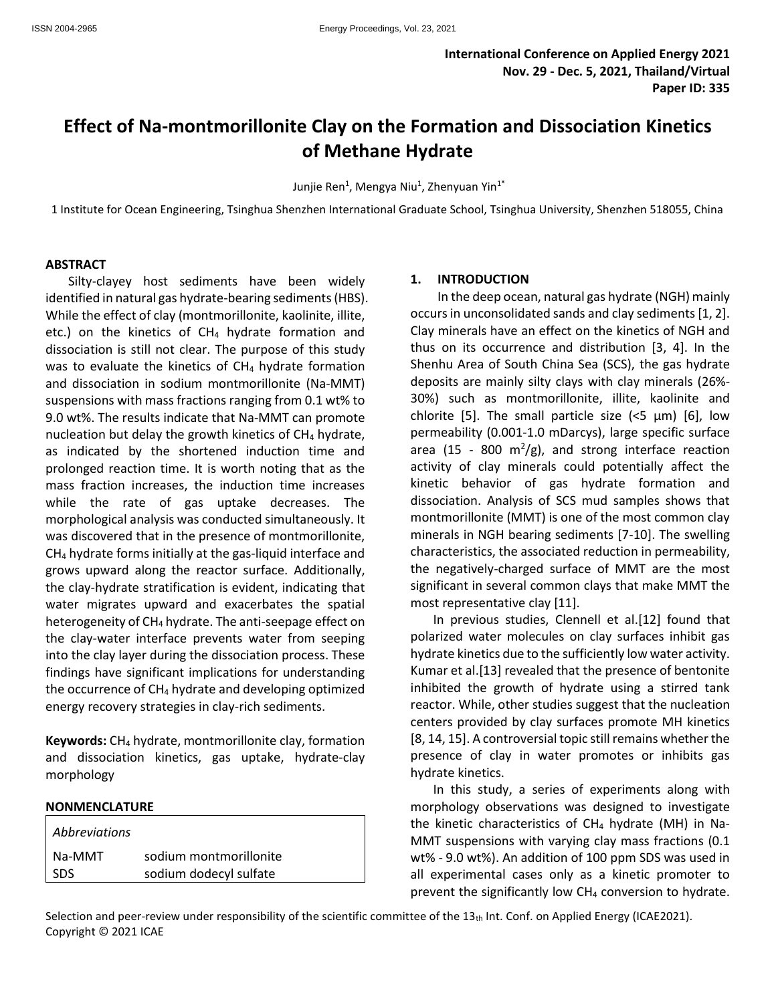# **Effect of Na-montmorillonite Clay on the Formation and Dissociation Kinetics of Methane Hydrate**

Junjie Ren<sup>1</sup>, Mengya Niu<sup>1</sup>, Zhenyuan Yin<sup>1\*</sup>

1 Institute for Ocean Engineering, Tsinghua Shenzhen International Graduate School, Tsinghua University, Shenzhen 518055, China

#### **ABSTRACT**

Silty-clayey host sediments have been widely identified in natural gas hydrate-bearing sediments (HBS). While the effect of clay (montmorillonite, kaolinite, illite, etc.) on the kinetics of  $CH<sub>4</sub>$  hydrate formation and dissociation is still not clear. The purpose of this study was to evaluate the kinetics of CH<sub>4</sub> hydrate formation and dissociation in sodium montmorillonite (Na-MMT) suspensions with mass fractions ranging from 0.1 wt% to 9.0 wt%. The results indicate that Na-MMT can promote nucleation but delay the growth kinetics of  $CH<sub>4</sub>$  hydrate, as indicated by the shortened induction time and prolonged reaction time. It is worth noting that as the mass fraction increases, the induction time increases while the rate of gas uptake decreases. The morphological analysis was conducted simultaneously. It was discovered that in the presence of montmorillonite, CH<sup>4</sup> hydrate forms initially at the gas-liquid interface and grows upward along the reactor surface. Additionally, the clay-hydrate stratification is evident, indicating that water migrates upward and exacerbates the spatial heterogeneity of CH<sub>4</sub> hydrate. The anti-seepage effect on the clay-water interface prevents water from seeping into the clay layer during the dissociation process. These findings have significant implications for understanding the occurrence of CH<sub>4</sub> hydrate and developing optimized energy recovery strategies in clay-rich sediments.

**Keywords:** CH<sup>4</sup> hydrate, montmorillonite clay, formation and dissociation kinetics, gas uptake, hydrate-clay morphology

#### **NONMENCLATURE**

| Abbreviations |                        |
|---------------|------------------------|
| Na-MMT        | sodium montmorillonite |
| l SDS.        | sodium dodecyl sulfate |

#### **1. INTRODUCTION**

In the deep ocean, natural gas hydrate (NGH) mainly occurs in unconsolidated sands and clay sediments [1, 2]. Clay minerals have an effect on the kinetics of NGH and thus on its occurrence and distribution [3, 4]. In the Shenhu Area of South China Sea (SCS), the gas hydrate deposits are mainly silty clays with clay minerals (26%- 30%) such as montmorillonite, illite, kaolinite and chlorite [5]. The small particle size  $(5 \mu m)$  [6], low permeability (0.001-1.0 mDarcys), large specific surface area (15 - 800  $m^2/g$ ), and strong interface reaction activity of clay minerals could potentially affect the kinetic behavior of gas hydrate formation and dissociation. Analysis of SCS mud samples shows that montmorillonite (MMT) is one of the most common clay minerals in NGH bearing sediments [7-10]. The swelling characteristics, the associated reduction in permeability, the negatively-charged surface of MMT are the most significant in several common clays that make MMT the most representative clay [11].

In previous studies, Clennell et al.[12] found that polarized water molecules on clay surfaces inhibit gas hydrate kinetics due to the sufficiently low water activity. Kumar et al.[13] revealed that the presence of bentonite inhibited the growth of hydrate using a stirred tank reactor. While, other studies suggest that the nucleation centers provided by clay surfaces promote MH kinetics [8, 14, 15]. A controversial topic still remains whether the presence of clay in water promotes or inhibits gas hydrate kinetics.

In this study, a series of experiments along with morphology observations was designed to investigate the kinetic characteristics of  $CH<sub>4</sub>$  hydrate (MH) in Na-MMT suspensions with varying clay mass fractions (0.1 wt% - 9.0 wt%). An addition of 100 ppm SDS was used in all experimental cases only as a kinetic promoter to prevent the significantly low  $CH_4$  conversion to hydrate.

Selection and peer-review under responsibility of the scientific committee of the  $13<sub>th</sub>$  Int. Conf. on Applied Energy (ICAE2021). Copyright © 2021 ICAE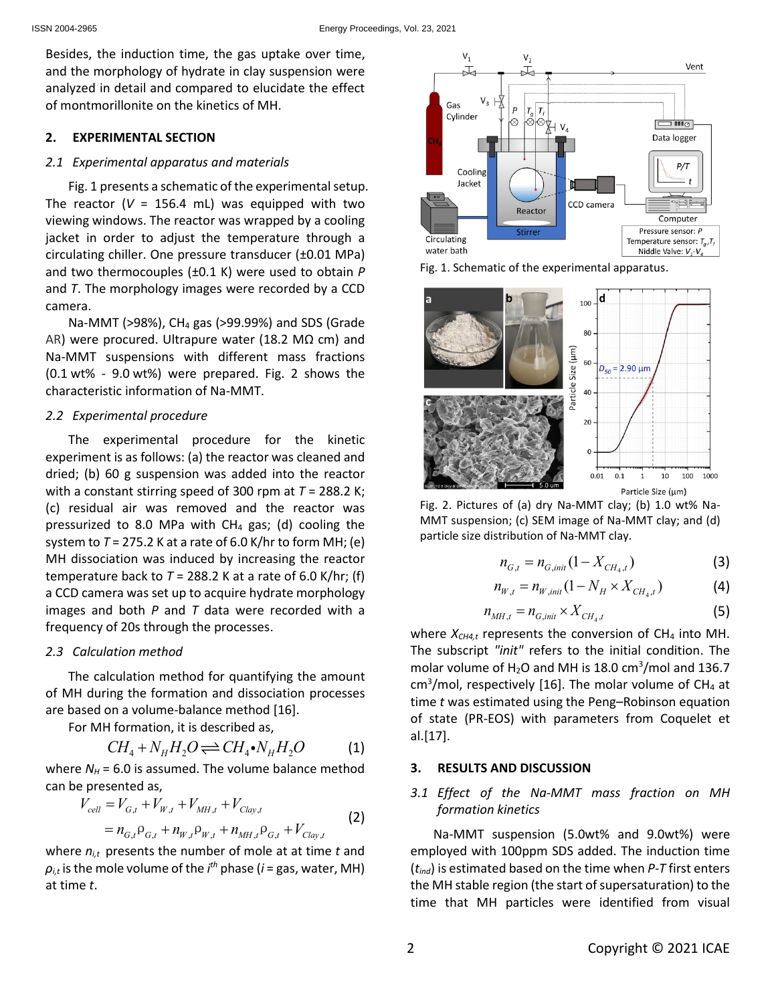Besides, the induction time, the gas uptake over time, and the morphology of hydrate in clay suspension were analyzed in detail and compared to elucidate the effect of montmorillonite on the kinetics of MH.

### **2. EXPERIMENTAL SECTION**

### *2.1 Experimental apparatus and materials*

Fig. 1 presents a schematic of the experimental setup. The reactor ( $V = 156.4$  mL) was equipped with two viewing windows. The reactor was wrapped by a cooling jacket in order to adjust the temperature through a circulating chiller. One pressure transducer (±0.01 MPa) and two thermocouples (±0.1 K) were used to obtain *P* and *T*. The morphology images were recorded by a CCD camera.

Na-MMT (>98%), CH<sup>4</sup> gas (>99.99%) and SDS (Grade AR) were procured. Ultrapure water (18.2 M $\Omega$  cm) and Na-MMT suspensions with different mass fractions (0.1 wt% - 9.0 wt%) were prepared. Fig. 2 shows the characteristic information of Na-MMT.

### *2.2 Experimental procedure*

The experimental procedure for the kinetic experiment is as follows: (a) the reactor was cleaned and dried; (b) 60 g suspension was added into the reactor with a constant stirring speed of 300 rpm at *T* = 288.2 K; (c) residual air was removed and the reactor was pressurized to 8.0 MPa with  $CH_4$  gas; (d) cooling the system to  $T = 275.2$  K at a rate of 6.0 K/hr to form MH; (e) MH dissociation was induced by increasing the reactor temperature back to  $T = 288.2$  K at a rate of 6.0 K/hr; (f) a CCD camera was set up to acquire hydrate morphology images and both *P* and *T* data were recorded with a frequency of 20s through the processes.

# *2.3 Calculation method*

The calculation method for quantifying the amount of MH during the formation and dissociation processes are based on a volume-balance method [16].

For MH formation, it is described as,  
\n
$$
CH_4 + N_H H_2 O \rightleftharpoons CH_4 \bullet N_H H_2 O
$$
 (1)

where  $N_H$  = 6.0 is assumed. The volume balance method can be presented as,<br>  $V_{cell} = V_{G,t} + V_{W,t} + V_{MH,t} + V_{Clay,t}$ 

$$
V_{cell} = V_{G,t} + V_{W,t} + V_{MH,t} + V_{Clay,t}
$$
  
=  $n_{G,t} \rho_{G,t} + n_{W,t} \rho_{W,t} + n_{MH,t} \rho_{G,t} + V_{Clay,t}$  (2)

where *ni,t* presents the number of mole at at time *t* and  $\rho_{i,t}$  is the mole volume of the  $i^{th}$  phase ( $i$  = gas, water, MH) at time *t*.



Fig. 1. Schematic of the experimental apparatus.



Fig. 2. Pictures of (a) dry Na-MMT clay; (b) 1.0 wt% Na-MMT suspension; (c) SEM image of Na-MMT clay; and (d) particle size distribution of Na-MMT clay.

$$
n_{G,t} = n_{G,init}(1 - X_{CH_4,t})
$$
 (3)

$$
n_{W,t} = n_{W,init} (1 - N_H \times X_{CH_4,t})
$$
(4)

$$
n_{MH,t} = n_{G,init} \times X_{CH_4,t} \tag{5}
$$

where *XCH4,t* represents the conversion of CH<sup>4</sup> into MH. The subscript *"init"* refers to the initial condition. The molar volume of  $H_2O$  and MH is 18.0 cm<sup>3</sup>/mol and 136.7  $cm<sup>3</sup>/mol$ , respectively [16]. The molar volume of CH<sub>4</sub> at time *t* was estimated using the Peng–Robinson equation of state (PR-EOS) with parameters from Coquelet et al.[17].

# **3. RESULTS AND DISCUSSION**

# *3.1 Effect of the Na-MMT mass fraction on MH formation kinetics*

Na-MMT suspension (5.0wt% and 9.0wt%) were employed with 100ppm SDS added. The induction time (*tind*) is estimated based on the time when *P*-*T* first enters the MH stable region (the start of supersaturation) to the time that MH particles were identified from visual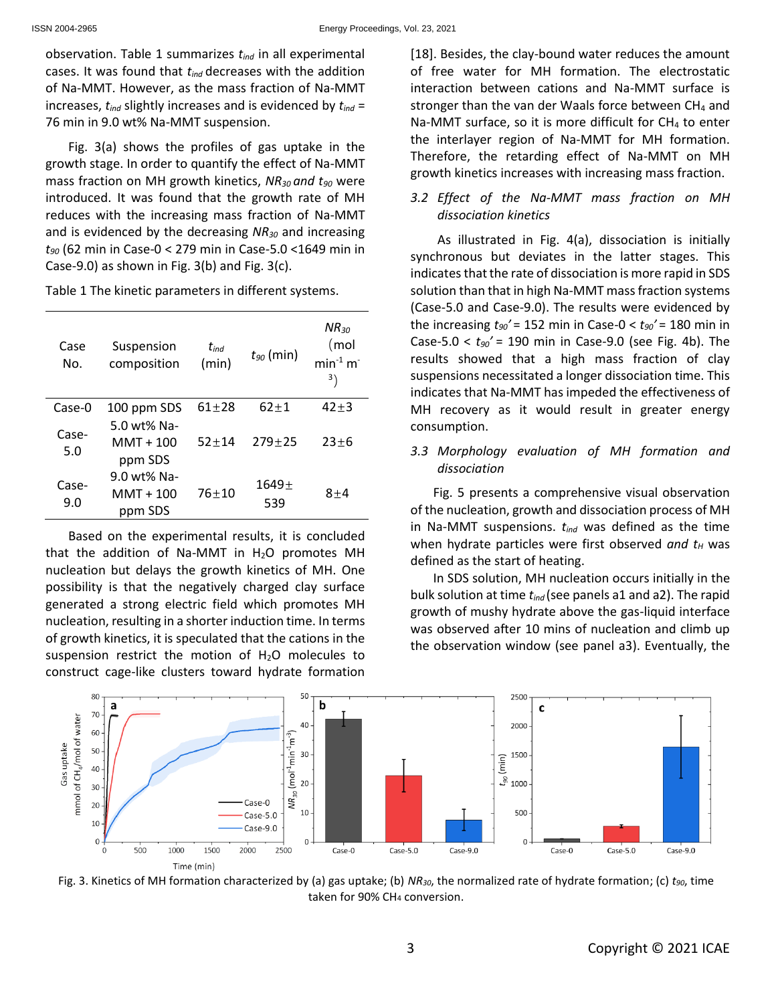observation. Table 1 summarizes *tind* in all experimental cases. It was found that *tind* decreases with the addition of Na-MMT. However, as the mass fraction of Na-MMT increases, *tind* slightly increases and is evidenced by *tind* = 76 min in 9.0 wt% Na-MMT suspension.

Fig. 3(a) shows the profiles of gas uptake in the growth stage. In order to quantify the effect of Na-MMT mass fraction on MH growth kinetics, *NR30 and t<sup>90</sup>* were introduced. It was found that the growth rate of MH reduces with the increasing mass fraction of Na-MMT and is evidenced by the decreasing *NR<sup>30</sup>* and increasing *t<sup>90</sup>* (62 min in Case-0 < 279 min in Case-5.0 <1649 min in Case-9.0) as shown in Fig. 3(b) and Fig. 3(c).

| Table 1 The kinetic parameters in different systems. |  |  |  |
|------------------------------------------------------|--|--|--|
|------------------------------------------------------|--|--|--|

| Case<br>No.  | Suspension<br>composition               | $t_{ind}$<br>(min) | $t_{90}$ (min) | $NR_{30}$<br>(mol)<br>$min^{-1}$ m<br>3) |
|--------------|-----------------------------------------|--------------------|----------------|------------------------------------------|
| Case-0       | 100 ppm SDS                             | $61 + 28$          | $62 + 1$       | $42 + 3$                                 |
| Case-<br>5.0 | $5.0$ wt% Na-<br>$MMT + 100$<br>ppm SDS | $52 + 14$          | $279 + 25$     | $23+6$                                   |
| Case-<br>9.0 | $9.0$ wt% Na-<br>MMT + 100<br>ppm SDS   | $76 + 10$          | $1649+$<br>539 | $8 + 4$                                  |

Based on the experimental results, it is concluded that the addition of Na-MMT in  $H_2O$  promotes MH nucleation but delays the growth kinetics of MH. One possibility is that the negatively charged clay surface generated a strong electric field which promotes MH nucleation, resulting in a shorter induction time. In terms of growth kinetics, it is speculated that the cations in the suspension restrict the motion of  $H_2O$  molecules to construct cage-like clusters toward hydrate formation

[18]. Besides, the clay-bound water reduces the amount of free water for MH formation. The electrostatic interaction between cations and Na-MMT surface is stronger than the van der Waals force between  $CH<sub>4</sub>$  and Na-MMT surface, so it is more difficult for CH<sub>4</sub> to enter the interlayer region of Na-MMT for MH formation. Therefore, the retarding effect of Na-MMT on MH growth kinetics increases with increasing mass fraction.

# *3.2 Effect of the Na-MMT mass fraction on MH dissociation kinetics*

As illustrated in Fig. 4(a), dissociation is initially synchronous but deviates in the latter stages. This indicates that the rate of dissociation is more rapid in SDS solution than that in high Na-MMT mass fraction systems (Case-5.0 and Case-9.0). The results were evidenced by the increasing *t90'* = 152 min in Case-0 < *t90'* = 180 min in Case-5.0 < *t90'* = 190 min in Case-9.0 (see Fig. 4b). The results showed that a high mass fraction of clay suspensions necessitated a longer dissociation time. This indicates that Na-MMT has impeded the effectiveness of MH recovery as it would result in greater energy consumption.

# *3.3 Morphology evaluation of MH formation and dissociation*

Fig. 5 presents a comprehensive visual observation of the nucleation, growth and dissociation process of MH in Na-MMT suspensions. *tind* was defined as the time when hydrate particles were first observed *and t<sup>H</sup>* was defined as the start of heating.

In SDS solution, MH nucleation occurs initially in the bulk solution at time *tind* (see panels a1 and a2). The rapid growth of mushy hydrate above the gas-liquid interface was observed after 10 mins of nucleation and climb up the observation window (see panel a3). Eventually, the



Fig. 3. Kinetics of MH formation characterized by (a) gas uptake; (b) *NR30*, the normalized rate of hydrate formation; (c) *t90*, time taken for 90% CH<sub>4</sub> conversion.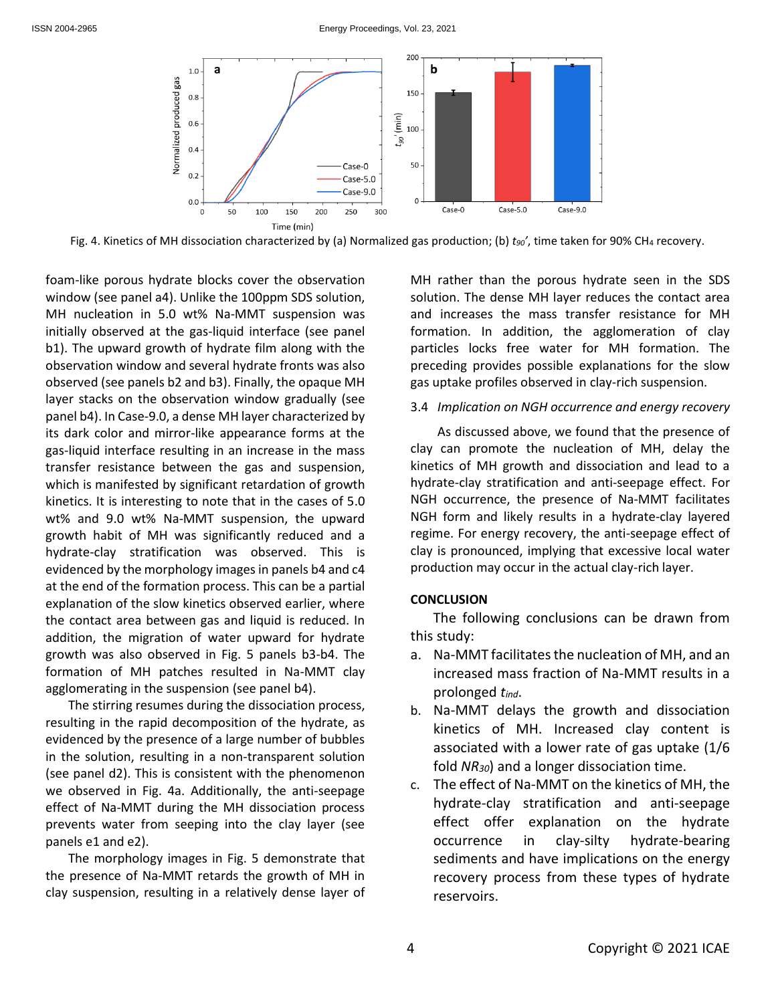



Fig. 4. Kinetics of MH dissociation characterized by (a) Normalized gas production; (b) *t90'*, time taken for 90% CH<sup>4</sup> recovery.

foam-like porous hydrate blocks cover the observation window (see panel a4). Unlike the 100ppm SDS solution, MH nucleation in 5.0 wt% Na-MMT suspension was initially observed at the gas-liquid interface (see panel b1). The upward growth of hydrate film along with the observation window and several hydrate fronts was also observed (see panels b2 and b3). Finally, the opaque MH layer stacks on the observation window gradually (see panel b4). In Case-9.0, a dense MH layer characterized by its dark color and mirror-like appearance forms at the gas-liquid interface resulting in an increase in the mass transfer resistance between the gas and suspension, which is manifested by significant retardation of growth kinetics. It is interesting to note that in the cases of 5.0 wt% and 9.0 wt% Na-MMT suspension, the upward growth habit of MH was significantly reduced and a hydrate-clay stratification was observed. This is evidenced by the morphology images in panels b4 and c4 at the end of the formation process. This can be a partial explanation of the slow kinetics observed earlier, where the contact area between gas and liquid is reduced. In addition, the migration of water upward for hydrate growth was also observed in Fig. 5 panels b3-b4. The formation of MH patches resulted in Na-MMT clay agglomerating in the suspension (see panel b4).

The stirring resumes during the dissociation process, resulting in the rapid decomposition of the hydrate, as evidenced by the presence of a large number of bubbles in the solution, resulting in a non-transparent solution (see panel d2). This is consistent with the phenomenon we observed in Fig. 4a. Additionally, the anti-seepage effect of Na-MMT during the MH dissociation process prevents water from seeping into the clay layer (see panels e1 and e2).

The morphology images in Fig. 5 demonstrate that the presence of Na-MMT retards the growth of MH in clay suspension, resulting in a relatively dense layer of

MH rather than the porous hydrate seen in the SDS solution. The dense MH layer reduces the contact area and increases the mass transfer resistance for MH formation. In addition, the agglomeration of clay particles locks free water for MH formation. The preceding provides possible explanations for the slow gas uptake profiles observed in clay-rich suspension.

### 3.4 *Implication on NGH occurrence and energy recovery*

As discussed above, we found that the presence of clay can promote the nucleation of MH, delay the kinetics of MH growth and dissociation and lead to a hydrate-clay stratification and anti-seepage effect. For NGH occurrence, the presence of Na-MMT facilitates NGH form and likely results in a hydrate-clay layered regime. For energy recovery, the anti-seepage effect of clay is pronounced, implying that excessive local water production may occur in the actual clay-rich layer.

# **CONCLUSION**

The following conclusions can be drawn from this study:

- a. Na-MMT facilitates the nucleation of MH, and an increased mass fraction of Na-MMT results in a prolonged *tind*.
- b. Na-MMT delays the growth and dissociation kinetics of MH. Increased clay content is associated with a lower rate of gas uptake (1/6 fold *NR30*) and a longer dissociation time.
- c. The effect of Na-MMT on the kinetics of MH, the hydrate-clay stratification and anti-seepage effect offer explanation on the hydrate occurrence in clay-silty hydrate-bearing sediments and have implications on the energy recovery process from these types of hydrate reservoirs.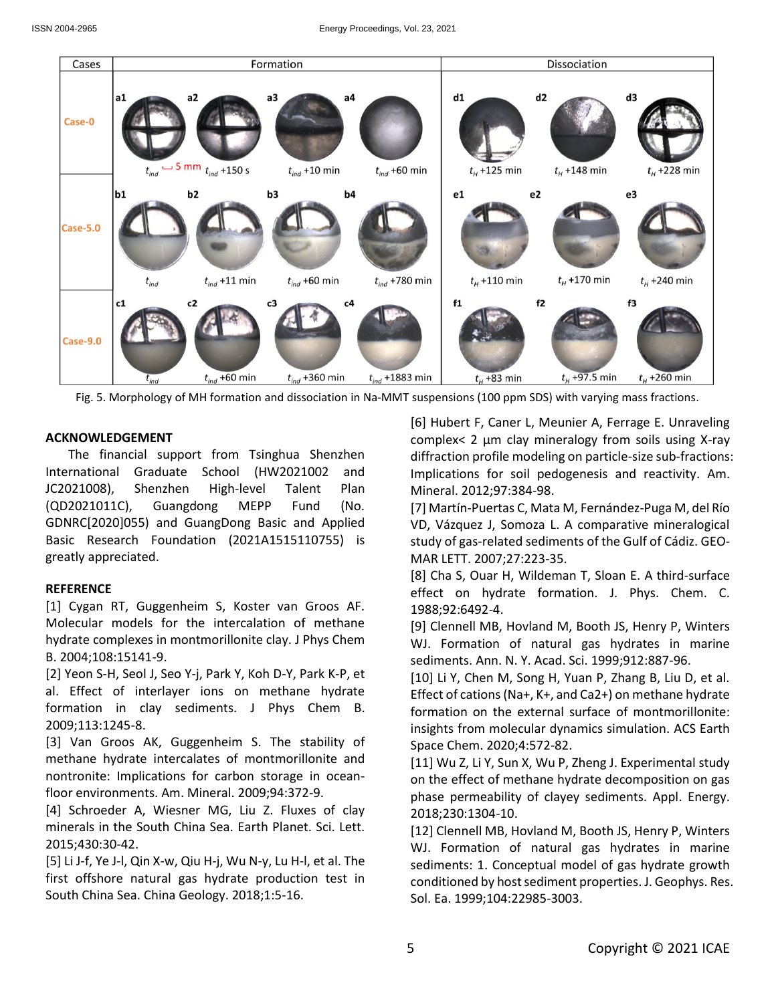

Fig. 5. Morphology of MH formation and dissociation in Na-MMT suspensions (100 ppm SDS) with varying mass fractions.

# **ACKNOWLEDGEMENT**

The financial support from Tsinghua Shenzhen International Graduate School (HW2021002 and JC2021008), Shenzhen High-level Talent Plan (QD2021011C), Guangdong MEPP Fund (No. GDNRC[2020]055) and GuangDong Basic and Applied Basic Research Foundation (2021A1515110755) is greatly appreciated.

#### **REFERENCE**

[1] Cygan RT, Guggenheim S, Koster van Groos AF. Molecular models for the intercalation of methane hydrate complexes in montmorillonite clay. J Phys Chem B. 2004;108:15141-9.

[2] Yeon S-H, Seol J, Seo Y-j, Park Y, Koh D-Y, Park K-P, et al. Effect of interlayer ions on methane hydrate formation in clay sediments. J Phys Chem B. 2009;113:1245-8.

[3] Van Groos AK, Guggenheim S. The stability of methane hydrate intercalates of montmorillonite and nontronite: Implications for carbon storage in oceanfloor environments. Am. Mineral. 2009;94:372-9.

[4] Schroeder A, Wiesner MG, Liu Z. Fluxes of clay minerals in the South China Sea. Earth Planet. Sci. Lett. 2015;430:30-42.

[5] Li J-f, Ye J-l, Qin X-w, Qiu H-j, Wu N-y, Lu H-l, et al. The first offshore natural gas hydrate production test in South China Sea. China Geology. 2018;1:5-16.

[6] Hubert F, Caner L, Meunier A, Ferrage E. Unraveling complex< 2 μm clay mineralogy from soils using X-ray diffraction profile modeling on particle-size sub-fractions: Implications for soil pedogenesis and reactivity. Am. Mineral. 2012;97:384-98.

[7] Martín-Puertas C, Mata M, Fernández-Puga M, del Río VD, Vázquez J, Somoza L. A comparative mineralogical study of gas-related sediments of the Gulf of Cádiz. GEO-MAR LETT. 2007;27:223-35.

[8] Cha S, Ouar H, Wildeman T, Sloan E. A third-surface effect on hydrate formation. J. Phys. Chem. C. 1988;92:6492-4.

[9] Clennell MB, Hovland M, Booth JS, Henry P, Winters WJ. Formation of natural gas hydrates in marine sediments. Ann. N. Y. Acad. Sci. 1999;912:887-96.

[10] Li Y, Chen M, Song H, Yuan P, Zhang B, Liu D, et al. Effect of cations (Na+, K+, and Ca2+) on methane hydrate formation on the external surface of montmorillonite: insights from molecular dynamics simulation. ACS Earth Space Chem. 2020;4:572-82.

[11] Wu Z, Li Y, Sun X, Wu P, Zheng J. Experimental study on the effect of methane hydrate decomposition on gas phase permeability of clayey sediments. Appl. Energy. 2018;230:1304-10.

[12] Clennell MB, Hovland M, Booth JS, Henry P, Winters WJ. Formation of natural gas hydrates in marine sediments: 1. Conceptual model of gas hydrate growth conditioned by host sediment properties. J. Geophys. Res. Sol. Ea. 1999;104:22985-3003.